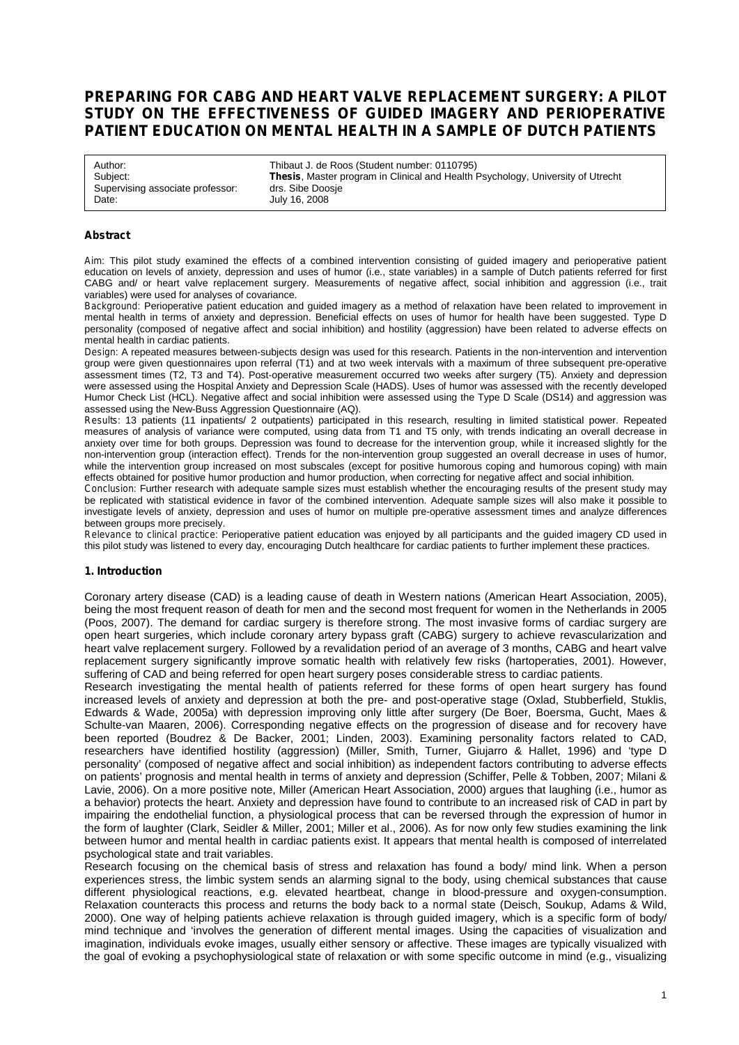# **PREPARING FOR CABG AND HEART VALVE REPLACEMENT SURGERY: A PILOT STUDY ON THE EFFECTIVENESS OF GUIDED IMAGERY AND PERIOPERATIVE PATIENT EDUCATION ON MENTAL HEALTH IN A SAMPLE OF DUTCH PATIENTS**

Supervising associate professor:<br>Date:

Author: Thibaut J. de Roos (Student number: 0110795)<br>
Subject: Thesis, Master program in Clinical and Health F **Thesis**, Master program in Clinical and Health Psychology, University of Utrecht drs. Sibe Doosie July 16, 2008

### **Abstract**

*Aim*: This pilot study examined the effects of a combined intervention consisting of guided imagery and perioperative patient education on levels of anxiety, depression and uses of humor (i.e., state variables) in a sample of Dutch patients referred for first CABG and/ or heart valve replacement surgery. Measurements of negative affect, social inhibition and aggression (i.e., trait variables) were used for analyses of covariance.

*Background*: Perioperative patient education and guided imagery as a method of relaxation have been related to improvement in mental health in terms of anxiety and depression. Beneficial effects on uses of humor for health have been suggested. Type D personality (composed of negative affect and social inhibition) and hostility (aggression) have been related to adverse effects on mental health in cardiac patients.

*Design*: A repeated measures between-subjects design was used for this research. Patients in the non-intervention and intervention group were given questionnaires upon referral (T1) and at two week intervals with a maximum of three subsequent pre-operative assessment times (T2, T3 and T4). Post-operative measurement occurred two weeks after surgery (T5). Anxiety and depression were assessed using the Hospital Anxiety and Depression Scale (HADS). Uses of humor was assessed with the recently developed Humor Check List (HCL). Negative affect and social inhibition were assessed using the Type D Scale (DS14) and aggression was assessed using the New-Buss Aggression Questionnaire (AQ).

*Results*: 13 patients (11 inpatients/ 2 outpatients) participated in this research, resulting in limited statistical power. Repeated measures of analysis of variance were computed, using data from T1 and T5 only, with trends indicating an overall decrease in anxiety over time for both groups. Depression was found to decrease for the intervention group, while it increased slightly for the non-intervention group (interaction effect). Trends for the non-intervention group suggested an overall decrease in uses of humor, while the intervention group increased on most subscales (except for positive humorous coping and humorous coping) with main effects obtained for positive humor production and humor production, when correcting for negative affect and social inhibition.

*Conclusion*: Further research with adequate sample sizes must establish whether the encouraging results of the present study may be replicated with statistical evidence in favor of the combined intervention. Adequate sample sizes will also make it possible to investigate levels of anxiety, depression and uses of humor on multiple pre-operative assessment times and analyze differences between groups more precisely.

*Relevance to clinical practice*: Perioperative patient education was enjoyed by all participants and the guided imagery CD used in this pilot study was listened to every day, encouraging Dutch healthcare for cardiac patients to further implement these practices.

#### **1. Introduction**

Coronary artery disease (CAD) is a leading cause of death in Western nations (American Heart Association, 2005), being the most frequent reason of death for men and the second most frequent for women in the Netherlands in 2005 (Poos, 2007). The demand for cardiac surgery is therefore strong. The most invasive forms of cardiac surgery are open heart surgeries, which include coronary artery bypass graft (CABG) surgery to achieve revascularization and heart valve replacement surgery. Followed by a revalidation period of an average of 3 months, CABG and heart valve replacement surgery significantly improve somatic health with relatively few risks (hartoperaties, 2001). However, suffering of CAD and being referred for open heart surgery poses considerable stress to cardiac patients.

Research investigating the mental health of patients referred for these forms of open heart surgery has found increased levels of anxiety and depression at both the pre- and post-operative stage (Oxlad, Stubberfield, Stuklis, Edwards & Wade, 2005a) with depression improving only little after surgery (De Boer, Boersma, Gucht, Maes & Schulte-van Maaren, 2006). Corresponding negative effects on the progression of disease and for recovery have been reported (Boudrez & De Backer, 2001; Linden, 2003). Examining personality factors related to CAD, researchers have identified hostility (aggression) (Miller, Smith, Turner, Giujarro & Hallet, 1996) and 'type D personality' (composed of negative affect and social inhibition) as independent factors contributing to adverse effects on patients' prognosis and mental health in terms of anxiety and depression (Schiffer, Pelle & Tobben, 2007; Milani & Lavie, 2006). On a more positive note, Miller (American Heart Association, 2000) argues that laughing (i.e., humor as a behavior) protects the heart. Anxiety and depression have found to contribute to an increased risk of CAD in part by impairing the endothelial function, a physiological process that can be reversed through the expression of humor in the form of laughter (Clark, Seidler & Miller, 2001; Miller et al., 2006). As for now only few studies examining the link between humor and mental health in cardiac patients exist. It appears that mental health is composed of interrelated psychological state and trait variables.

Research focusing on the chemical basis of stress and relaxation has found a body/ mind link. When a person experiences stress, the limbic system sends an alarming signal to the body, using chemical substances that cause different physiological reactions, e.g. elevated heartbeat, change in blood-pressure and oxygen-consumption. Relaxation counteracts this process and returns the body back to a *normal* state (Deisch, Soukup, Adams & Wild, 2000). One way of helping patients achieve relaxation is through guided imagery, which is a specific form of body/ mind technique and 'involves the generation of different mental images. Using the capacities of visualization and imagination, individuals evoke images, usually either sensory or affective. These images are typically visualized with the goal of evoking a psychophysiological state of relaxation or with some specific outcome in mind (e.g., visualizing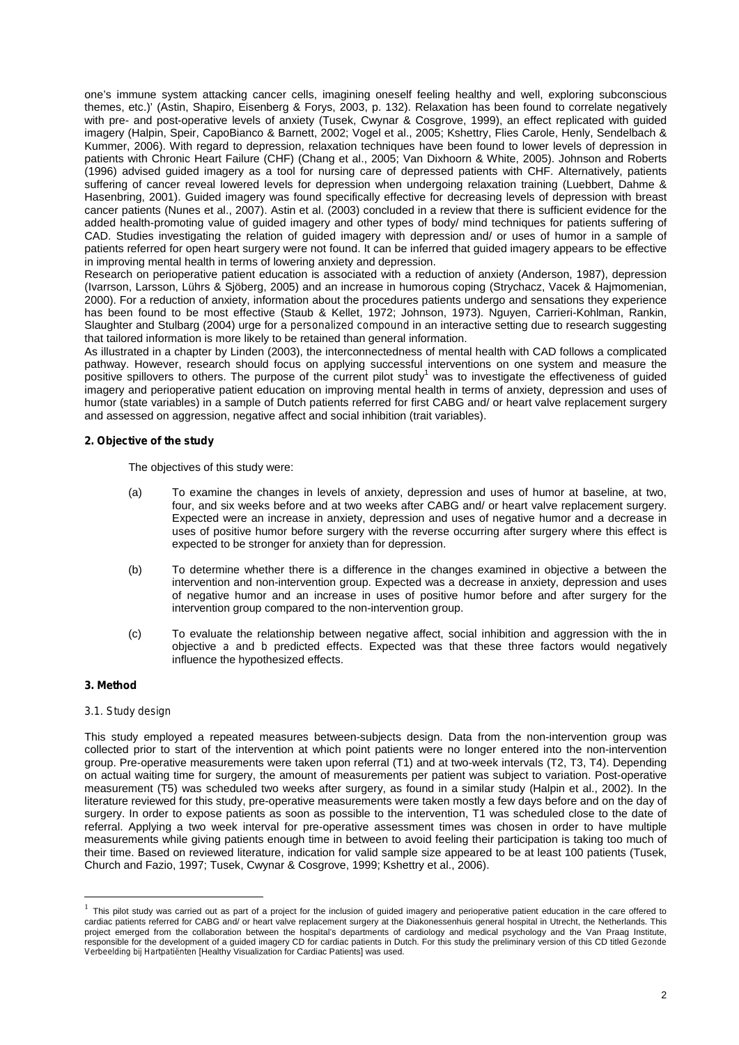one's immune system attacking cancer cells, imagining oneself feeling healthy and well, exploring subconscious themes, etc.)' (Astin, Shapiro, Eisenberg & Forys, 2003, p. 132). Relaxation has been found to correlate negatively with pre- and post-operative levels of anxiety (Tusek, Cwynar & Cosgrove, 1999), an effect replicated with guided imagery (Halpin, Speir, CapoBianco & Barnett, 2002; Vogel et al., 2005; Kshettry, Flies Carole, Henly, Sendelbach & Kummer, 2006). With regard to depression, relaxation techniques have been found to lower levels of depression in patients with Chronic Heart Failure (CHF) (Chang et al., 2005; Van Dixhoorn & White, 2005). Johnson and Roberts (1996) advised guided imagery as a tool for nursing care of depressed patients with CHF. Alternatively, patients suffering of cancer reveal lowered levels for depression when undergoing relaxation training (Luebbert, Dahme & Hasenbring, 2001). Guided imagery was found specifically effective for decreasing levels of depression with breast cancer patients (Nunes et al., 2007). Astin et al. (2003) concluded in a review that there is sufficient evidence for the added health-promoting value of guided imagery and other types of body/ mind techniques for patients suffering of CAD. Studies investigating the relation of guided imagery with depression and/ or uses of humor in a sample of patients referred for open heart surgery were not found. It can be inferred that guided imagery appears to be effective in improving mental health in terms of lowering anxiety and depression.

Research on perioperative patient education is associated with a reduction of anxiety (Anderson, 1987), depression (Ivarrson, Larsson, Lührs & Sjöberg, 2005) and an increase in humorous coping (Strychacz, Vacek & Hajmomenian, 2000). For a reduction of anxiety, information about the procedures patients undergo and sensations they experience has been found to be most effective (Staub & Kellet, 1972; Johnson, 1973). Nguyen, Carrieri-Kohlman, Rankin, Slaughter and Stulbarg (2004) urge for a *personalized compound* in an interactive setting due to research suggesting that tailored information is more likely to be retained than general information.

As illustrated in a chapter by Linden (2003), the interconnectedness of mental health with CAD follows a complicated pathway. However, research should focus on applying successful interventions on one system and measure the positive spillovers to others. The purpose of the current pilot study<sup>1</sup> was to investigate the effectiveness of guided imagery and perioperative patient education on improving mental health in terms of anxiety, depression and uses of humor (state variables) in a sample of Dutch patients referred for first CABG and/ or heart valve replacement surgery and assessed on aggression, negative affect and social inhibition (trait variables).

### **2. Objective of the study**

The objectives of this study were:

- (a) To examine the changes in levels of anxiety, depression and uses of humor at baseline, at two, four, and six weeks before and at two weeks after CABG and/ or heart valve replacement surgery. Expected were an increase in anxiety, depression and uses of negative humor and a decrease in uses of positive humor before surgery with the reverse occurring after surgery where this effect is expected to be stronger for anxiety than for depression.
- (b) To determine whether there is a difference in the changes examined in objective *a* between the intervention and non-intervention group. Expected was a decrease in anxiety, depression and uses of negative humor and an increase in uses of positive humor before and after surgery for the intervention group compared to the non-intervention group.
- (c) To evaluate the relationship between negative affect, social inhibition and aggression with the in objective *a* and *b* predicted effects. Expected was that these three factors would negatively influence the hypothesized effects.

### **3. Method**

### *3.1. Study design*

This study employed a repeated measures between-subjects design. Data from the non-intervention group was collected prior to start of the intervention at which point patients were no longer entered into the non-intervention group. Pre-operative measurements were taken upon referral (T1) and at two-week intervals (T2, T3, T4). Depending on actual waiting time for surgery, the amount of measurements per patient was subject to variation. Post-operative measurement (T5) was scheduled two weeks after surgery, as found in a similar study (Halpin et al., 2002). In the literature reviewed for this study, pre-operative measurements were taken mostly a few days before and on the day of surgery. In order to expose patients as soon as possible to the intervention, T1 was scheduled close to the date of referral. Applying a two week interval for pre-operative assessment times was chosen in order to have multiple measurements while giving patients enough time in between to avoid feeling their participation is taking too much of their time. Based on reviewed literature, indication for valid sample size appeared to be at least 100 patients (Tusek, Church and Fazio, 1997; Tusek, Cwynar & Cosgrove, 1999; Kshettry et al., 2006).

<sup>&</sup>lt;sup>1</sup> This pilot study was carried out as part of a project for the inclusion of guided imagery and perioperative patient education in the care offered to cardiac patients referred for CABG and/ or heart valve replacement surgery at the Diakonessenhuis general hospital in Utrecht, the Netherlands. This project emerged from the collaboration between the hospital's departments of cardiology and medical psychology and the Van Praag Institute, responsible for the development of a guided imagery CD for cardiac patients in Dutch. For this study the preliminary version of this CD titled *Gezonde Verbeelding bij Hartpatiënten* [Healthy Visualization for Cardiac Patients] was used.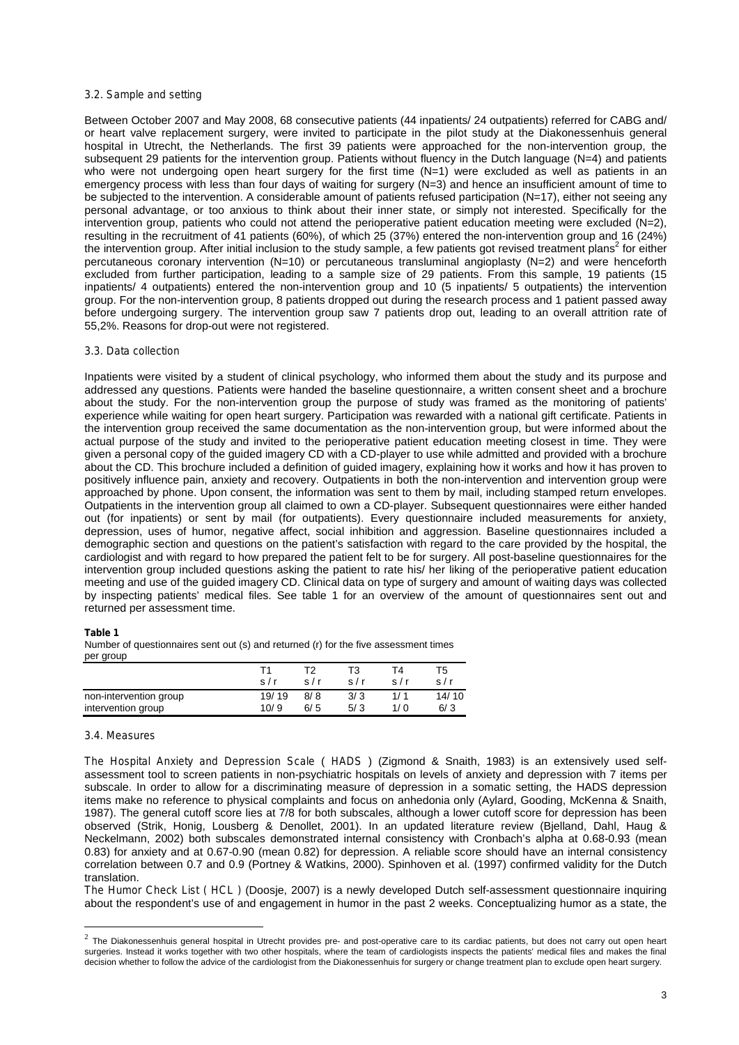### *3.2. Sample and setting*

Between October 2007 and May 2008, 68 consecutive patients (44 inpatients/ 24 outpatients) referred for CABG and/ or heart valve replacement surgery, were invited to participate in the pilot study at the Diakonessenhuis general hospital in Utrecht, the Netherlands. The first 39 patients were approached for the non-intervention group, the subsequent 29 patients for the intervention group. Patients without fluency in the Dutch language (N=4) and patients who were not undergoing open heart surgery for the first time  $(N=1)$  were excluded as well as patients in an emergency process with less than four days of waiting for surgery (N=3) and hence an insufficient amount of time to be subjected to the intervention. A considerable amount of patients refused participation (N=17), either not seeing any personal advantage, or too anxious to think about their inner state, or simply not interested. Specifically for the intervention group, patients who could not attend the perioperative patient education meeting were excluded (N=2), resulting in the recruitment of 41 patients (60%), of which 25 (37%) entered the non-intervention group and 16 (24%) the intervention group. After initial inclusion to the study sample, a few patients got revised treatment plans<sup>2</sup> for either percutaneous coronary intervention (N=10) or percutaneous transluminal angioplasty (N=2) and were henceforth excluded from further participation, leading to a sample size of 29 patients. From this sample, 19 patients (15 inpatients/ 4 outpatients) entered the non-intervention group and 10 (5 inpatients/ 5 outpatients) the intervention group. For the non-intervention group, 8 patients dropped out during the research process and 1 patient passed away before undergoing surgery. The intervention group saw 7 patients drop out, leading to an overall attrition rate of 55,2%. Reasons for drop-out were not registered.

### *3.3. Data collection*

Inpatients were visited by a student of clinical psychology, who informed them about the study and its purpose and addressed any questions. Patients were handed the baseline questionnaire, a written consent sheet and a brochure about the study. For the non-intervention group the purpose of study was framed as the monitoring of patients' experience while waiting for open heart surgery. Participation was rewarded with a national gift certificate. Patients in the intervention group received the same documentation as the non-intervention group, but were informed about the actual purpose of the study and invited to the perioperative patient education meeting closest in time. They were given a personal copy of the guided imagery CD with a CD-player to use while admitted and provided with a brochure about the CD. This brochure included a definition of guided imagery, explaining how it works and how it has proven to positively influence pain, anxiety and recovery. Outpatients in both the non-intervention and intervention group were approached by phone. Upon consent, the information was sent to them by mail, including stamped return envelopes. Outpatients in the intervention group all claimed to own a CD-player. Subsequent questionnaires were either handed out (for inpatients) or sent by mail (for outpatients). Every questionnaire included measurements for anxiety, depression, uses of humor, negative affect, social inhibition and aggression. Baseline questionnaires included a demographic section and questions on the patient's satisfaction with regard to the care provided by the hospital, the cardiologist and with regard to how prepared the patient felt to be for surgery. All post-baseline questionnaires for the intervention group included questions asking the patient to rate his/ her liking of the perioperative patient education meeting and use of the guided imagery CD. Clinical data on type of surgery and amount of waiting days was collected by inspecting patients' medical files. See table 1 for an overview of the amount of questionnaires sent out and returned per assessment time.

#### **Table 1**

Number of questionnaires sent out (s) and returned (r) for the five assessment times per group

|                        | s/r   | ℸゥ<br>s/r | T3<br>s/r | Г4<br>s/r | Т5<br>s/r |
|------------------------|-------|-----------|-----------|-----------|-----------|
| non-intervention group | 19/19 | 8/8       | 3/3       | 1/1       | 14/10     |
| intervention group     | 10/9  | 6/5       | 5/3       | 1/0       | 6/3       |

#### *3.4. Measures*

*The Hospital Anxiety and Depression Scale* ( *HADS* ) (Zigmond & Snaith, 1983) is an extensively used selfassessment tool to screen patients in non-psychiatric hospitals on levels of anxiety and depression with 7 items per subscale. In order to allow for a discriminating measure of depression in a somatic setting, the HADS depression items make no reference to physical complaints and focus on anhedonia only (Aylard, Gooding, McKenna & Snaith, 1987). The general cutoff score lies at 7/8 for both subscales, although a lower cutoff score for depression has been observed (Strik, Honig, Lousberg & Denollet, 2001). In an updated literature review (Bjelland, Dahl, Haug & Neckelmann, 2002) both subscales demonstrated internal consistency with Cronbach's alpha at 0.68-0.93 (mean 0.83) for anxiety and at 0.67-0.90 (mean 0.82) for depression. A reliable score should have an internal consistency correlation between 0.7 and 0.9 (Portney & Watkins, 2000). Spinhoven et al. (1997) confirmed validity for the Dutch translation.

*The Humor Check List ( HCL )* (Doosje, 2007) is a newly developed Dutch self-assessment questionnaire inquiring about the respondent's use of and engagement in humor in the past 2 weeks. Conceptualizing humor as a state, the

 $^2$  The Diakonessenhuis general hospital in Utrecht provides pre- and post-operative care to its cardiac patients, but does not carry out open heart surgeries. Instead it works together with two other hospitals, where the team of cardiologists inspects the patients' medical files and makes the final decision whether to follow the advice of the cardiologist from the Diakonessenhuis for surgery or change treatment plan to exclude open heart surgery.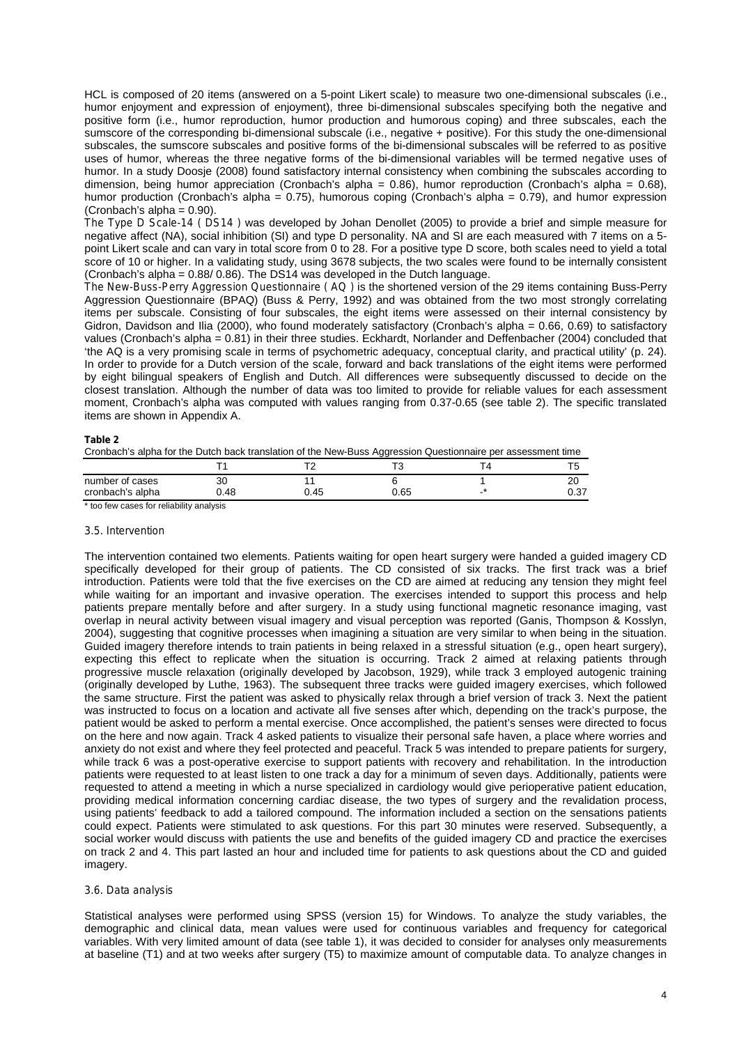HCL is composed of 20 items (answered on a 5-point Likert scale) to measure two one-dimensional subscales (i.e., humor enjoyment and expression of enjoyment), three bi-dimensional subscales specifying both the negative and positive form (i.e., humor reproduction, humor production and humorous coping) and three subscales, each the sumscore of the corresponding bi-dimensional subscale (i.e., negative + positive). For this study the one-dimensional subscales, the sumscore subscales and positive forms of the bi-dimensional subscales will be referred to as *positive* uses of humor, whereas the three negative forms of the bi-dimensional variables will be termed *negative* uses of humor. In a study Doosje (2008) found satisfactory internal consistency when combining the subscales according to dimension, being humor appreciation (Cronbach's alpha = 0.86), humor reproduction (Cronbach's alpha = 0.68), humor production (Cronbach's alpha = 0.75), humorous coping (Cronbach's alpha = 0.79), and humor expression (Cronbach's alpha =  $0.90$ ).

*The Type D Scale-14 ( DS14 )* was developed by Johan Denollet (2005) to provide a brief and simple measure for negative affect (NA), social inhibition (SI) and type D personality. NA and SI are each measured with 7 items on a 5 point Likert scale and can vary in total score from 0 to 28. For a positive type D score, both scales need to yield a total score of 10 or higher. In a validating study, using 3678 subjects, the two scales were found to be internally consistent (Cronbach's alpha = 0.88/ 0.86). The DS14 was developed in the Dutch language.

*The New-Buss-Perry Aggression Questionnaire ( AQ )* is the shortened version of the 29 items containing Buss-Perry Aggression Questionnaire (BPAQ) (Buss & Perry, 1992) and was obtained from the two most strongly correlating items per subscale. Consisting of four subscales, the eight items were assessed on their internal consistency by Gidron, Davidson and Ilia (2000), who found moderately satisfactory (Cronbach's alpha = 0.66, 0.69) to satisfactory values (Cronbach's alpha = 0.81) in their three studies. Eckhardt, Norlander and Deffenbacher (2004) concluded that 'the AQ is a very promising scale in terms of psychometric adequacy, conceptual clarity, and practical utility' (p. 24). In order to provide for a Dutch version of the scale, forward and back translations of the eight items were performed by eight bilingual speakers of English and Dutch. All differences were subsequently discussed to decide on the closest translation. Although the number of data was too limited to provide for reliable values for each assessment moment, Cronbach's alpha was computed with values ranging from 0.37-0.65 (see table 2). The specific translated items are shown in Appendix A.

#### **Table 2**

Cronbach's alpha for the Dutch back translation of the New-Buss Aggression Questionnaire per assessment time

|                  |     |      | --      |   |               |
|------------------|-----|------|---------|---|---------------|
|                  |     |      | ┯╭<br>w |   |               |
| number of cases  | 30  |      |         |   | חר<br>∠∪      |
| cronbach's alpha | .48 | 0.45 | 0.65    | - | $-27$<br>U.J1 |
|                  |     |      |         |   |               |

\* too few cases for reliability analysis

#### *3.5. Intervention*

The intervention contained two elements. Patients waiting for open heart surgery were handed a guided imagery CD specifically developed for their group of patients. The CD consisted of six tracks. The first track was a brief introduction. Patients were told that the five exercises on the CD are aimed at reducing any tension they might feel while waiting for an important and invasive operation. The exercises intended to support this process and help patients prepare mentally before and after surgery. In a study using functional magnetic resonance imaging, vast overlap in neural activity between visual imagery and visual perception was reported (Ganis, Thompson & Kosslyn, 2004), suggesting that cognitive processes when imagining a situation are very similar to when being in the situation. Guided imagery therefore intends to train patients in being relaxed in a stressful situation (e.g., open heart surgery), expecting this effect to replicate when the situation is occurring. Track 2 aimed at relaxing patients through progressive muscle relaxation (originally developed by Jacobson, 1929), while track 3 employed autogenic training (originally developed by Luthe, 1963). The subsequent three tracks were guided imagery exercises, which followed the same structure. First the patient was asked to physically relax through a brief version of track 3. Next the patient was instructed to focus on a location and activate all five senses after which, depending on the track's purpose, the patient would be asked to perform a mental exercise. Once accomplished, the patient's senses were directed to focus on the here and now again. Track 4 asked patients to visualize their personal safe haven, a place where worries and anxiety do not exist and where they feel protected and peaceful. Track 5 was intended to prepare patients for surgery, while track 6 was a post-operative exercise to support patients with recovery and rehabilitation. In the introduction patients were requested to at least listen to one track a day for a minimum of seven days. Additionally, patients were requested to attend a meeting in which a nurse specialized in cardiology would give perioperative patient education, providing medical information concerning cardiac disease, the two types of surgery and the revalidation process, using patients' feedback to add a tailored compound. The information included a section on the sensations patients could expect. Patients were stimulated to ask questions. For this part 30 minutes were reserved. Subsequently, a social worker would discuss with patients the use and benefits of the guided imagery CD and practice the exercises on track 2 and 4. This part lasted an hour and included time for patients to ask questions about the CD and guided imagery.

### *3.6. Data analysis*

Statistical analyses were performed using SPSS (version 15) for Windows. To analyze the study variables, the demographic and clinical data, mean values were used for continuous variables and frequency for categorical variables. With very limited amount of data (see table 1), it was decided to consider for analyses only measurements at baseline (T1) and at two weeks after surgery (T5) to maximize amount of computable data. To analyze changes in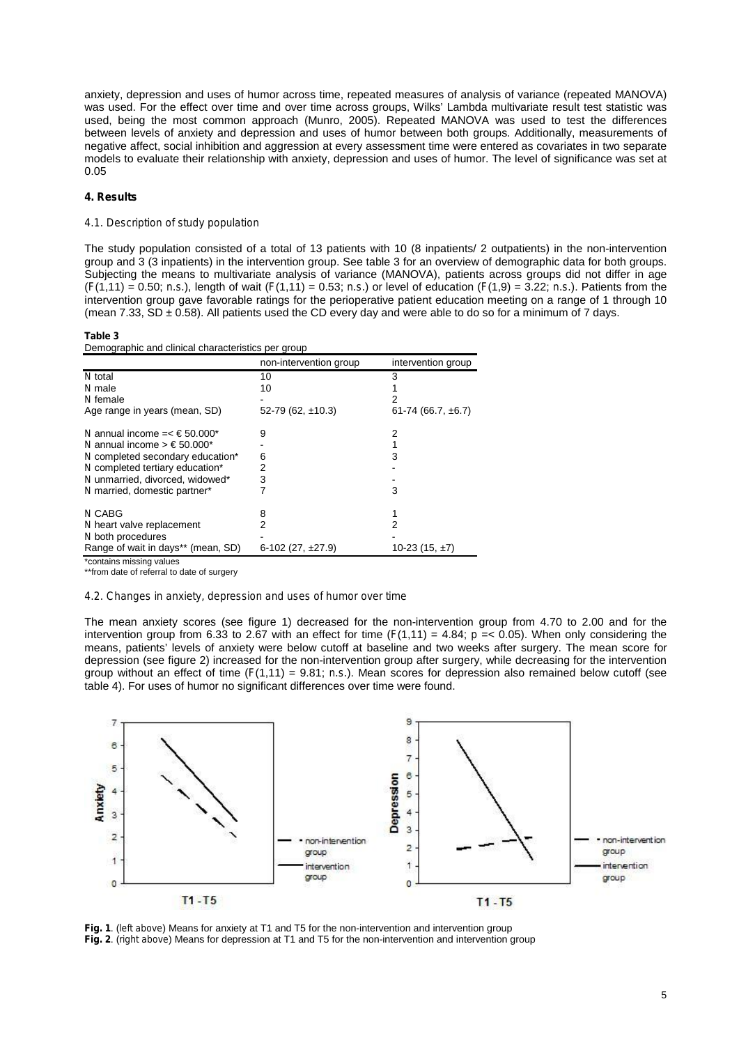anxiety, depression and uses of humor across time, repeated measures of analysis of variance (repeated MANOVA) was used. For the effect over time and over time across groups, Wilks' Lambda multivariate result test statistic was used, being the most common approach (Munro, 2005). Repeated MANOVA was used to test the differences between levels of anxiety and depression and uses of humor between both groups. Additionally, measurements of negative affect, social inhibition and aggression at every assessment time were entered as covariates in two separate models to evaluate their relationship with anxiety, depression and uses of humor. The level of significance was set at 0.05

### **4. Results**

# *4.1. Description of study population*

The study population consisted of a total of 13 patients with 10 (8 inpatients/ 2 outpatients) in the non-intervention group and 3 (3 inpatients) in the intervention group. See table 3 for an overview of demographic data for both groups. Subjecting the means to multivariate analysis of variance (MANOVA), patients across groups did not differ in age (*F*(1,11) = 0.50; *n.s.*), length of wait (*F*(1,11) = 0.53; *n.s.*) or level of education (*F*(1,9) = 3.22; *n.s.*). Patients from the intervention group gave favorable ratings for the perioperative patient education meeting on a range of 1 through 10 (mean 7.33,  $SD \pm 0.58$ ). All patients used the CD every day and were able to do so for a minimum of 7 days.

#### **Table 3**

Demographic and clinical characteristics per group

|                                                     | non-intervention group | intervention group     |
|-----------------------------------------------------|------------------------|------------------------|
| N total                                             | 10                     | 3                      |
| N male                                              | 10                     |                        |
| N female                                            |                        |                        |
| Age range in years (mean, SD)                       | $52-79(62, \pm 10.3)$  | $61-74(66.7, \pm 6.7)$ |
| N annual income $=<\text{\$}50.000*$                | 9                      | 2                      |
| N annual income $\geq \text{\textsterling}50.000^*$ |                        |                        |
| N completed secondary education*                    | 6                      | 3                      |
| N completed tertiary education*                     | 2                      |                        |
| N unmarried, divorced, widowed*                     | 3                      |                        |
| N married, domestic partner*                        |                        | 3                      |
| <b>NCABG</b>                                        | 8                      |                        |
| N heart valve replacement                           | 2                      | 2                      |
| N both procedures                                   |                        |                        |
| Range of wait in days** (mean, SD)                  | 6-102 (27, $\pm$ 27.9) | 10-23 (15, $\pm$ 7)    |

\*contains missing values

\*\*from date of referral to date of surgery

#### *4.2. Changes in anxiety, depression and uses of humor over time*

The mean anxiety scores (see figure 1) decreased for the non-intervention group from 4.70 to 2.00 and for the intervention group from 6.33 to 2.67 with an effect for time  $(F(1,11) = 4.84; p = 0.05)$ . When only considering the means, patients' levels of anxiety were below cutoff at baseline and two weeks after surgery. The mean score for depression (see figure 2) increased for the non-intervention group after surgery, while decreasing for the intervention group without an effect of time  $(F(1,11) = 9.81; n.s.)$ . Mean scores for depression also remained below cutoff (see table 4). For uses of humor no significant differences over time were found.



**Fig. 1**. (*left above*) Means for anxiety at T1 and T5 for the non-intervention and intervention group **Fig. 2**. (*right above*) Means for depression at T1 and T5 for the non-intervention and intervention group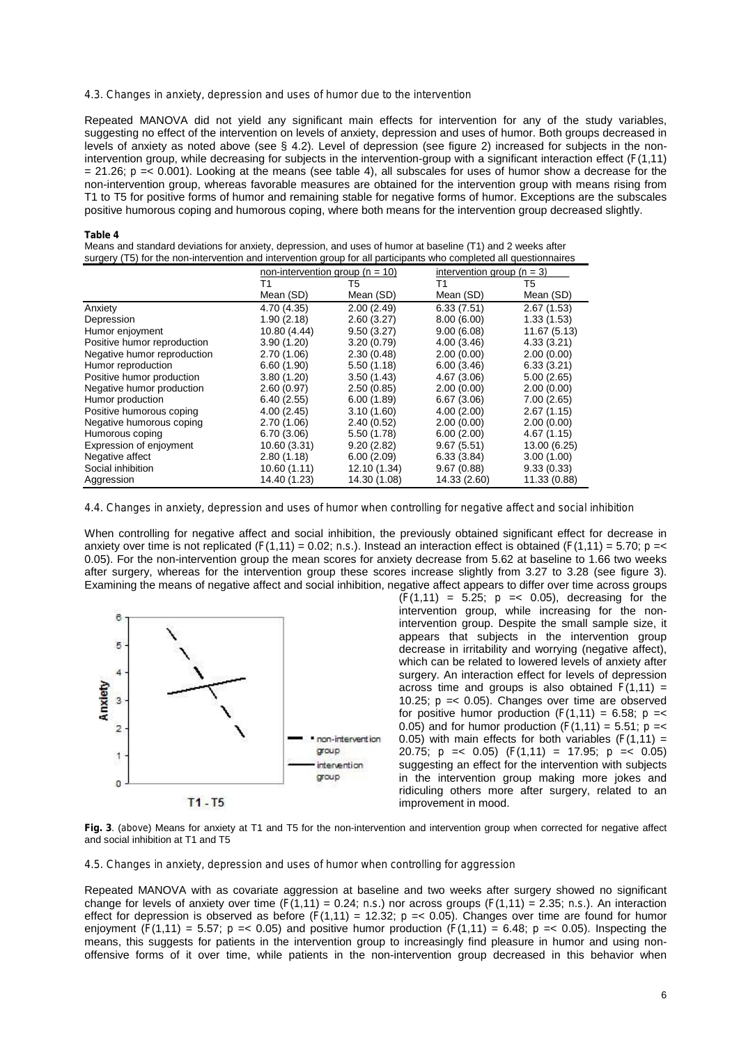#### *4.3. Changes in anxiety, depression and uses of humor due to the intervention*

Repeated MANOVA did not yield any significant main effects for intervention for any of the study variables, suggesting no effect of the intervention on levels of anxiety, depression and uses of humor. Both groups decreased in levels of anxiety as noted above (see § 4.2). Level of depression (see figure 2) increased for subjects in the nonintervention group, while decreasing for subjects in the intervention-group with a significant interaction effect (*F*(1,11)  $= 21.26$ ;  $p = 0.001$ ). Looking at the means (see table 4), all subscales for uses of humor show a decrease for the non-intervention group, whereas favorable measures are obtained for the intervention group with means rising from T1 to T5 for positive forms of humor and remaining stable for negative forms of humor. Exceptions are the subscales positive humorous coping and humorous coping, where both means for the intervention group decreased slightly.

#### **Table 4**

Means and standard deviations for anxiety, depression, and uses of humor at baseline (T1) and 2 weeks after surgery (T5) for the non-intervention and intervention group for all participants who completed all questionnaires

|                             | non-intervention group ( $n = 10$ ) |              | intervention group $(n = 3)$ |              |
|-----------------------------|-------------------------------------|--------------|------------------------------|--------------|
|                             | Τ1                                  | T5           | Τ1                           | T5           |
|                             | Mean (SD)                           | Mean (SD)    | Mean (SD)                    | Mean (SD)    |
| Anxiety                     | 4.70 (4.35)                         | 2.00(2.49)   | 6.33(7.51)                   | 2.67(1.53)   |
| Depression                  | 1.90(2.18)                          | 2.60(3.27)   | 8.00(6.00)                   | 1.33(1.53)   |
| Humor enjoyment             | 10.80 (4.44)                        | 9.50(3.27)   | 9.00(6.08)                   | 11.67 (5.13) |
| Positive humor reproduction | 3.90(1.20)                          | 3.20(0.79)   | 4.00(3.46)                   | 4.33(3.21)   |
| Negative humor reproduction | 2.70(1.06)                          | 2.30(0.48)   | 2.00(0.00)                   | 2.00(0.00)   |
| Humor reproduction          | 6.60(1.90)                          | 5.50(1.18)   | 6.00(3.46)                   | 6.33(3.21)   |
| Positive humor production   | 3.80(1.20)                          | 3.50(1.43)   | 4.67 (3.06)                  | 5.00(2.65)   |
| Negative humor production   | 2.60(0.97)                          | 2.50(0.85)   | 2.00(0.00)                   | 2.00(0.00)   |
| Humor production            | 6.40(2.55)                          | 6.00(1.89)   | 6.67(3.06)                   | 7.00(2.65)   |
| Positive humorous coping    | 4.00(2.45)                          | 3.10(1.60)   | 4.00(2.00)                   | 2.67(1.15)   |
| Negative humorous coping    | 2.70(1.06)                          | 2.40(0.52)   | 2.00(0.00)                   | 2.00(0.00)   |
| Humorous coping             | 6.70(3.06)                          | 5.50(1.78)   | 6.00(2.00)                   | 4.67(1.15)   |
| Expression of enjoyment     | 10.60 (3.31)                        | 9.20(2.82)   | 9.67(5.51)                   | 13.00 (6.25) |
| Negative affect             | 2.80(1.18)                          | 6.00(2.09)   | 6.33(3.84)                   | 3.00(1.00)   |
| Social inhibition           | 10.60(1.11)                         | 12.10 (1.34) | 9.67(0.88)                   | 9.33(0.33)   |
| Aggression                  | 14.40 (1.23)                        | 14.30 (1.08) | 14.33 (2.60)                 | 11.33 (0.88) |

#### 4.4. Changes in anxiety, depression and uses of humor when controlling for negative affect and social inhibition

When controlling for negative affect and social inhibition, the previously obtained significant effect for decrease in anxiety over time is not replicated  $(F(1,11) = 0.02; n.s.)$ . Instead an interaction effect is obtained  $(F(1,11) = 5.70; p = 1.002; n.s.)$ 0.05). For the non-intervention group the mean scores for anxiety decrease from 5.62 at baseline to 1.66 two weeks after surgery, whereas for the intervention group these scores increase slightly from 3.27 to 3.28 (see figure 3). Examining the means of negative affect and social inhibition, negative affect appears to differ over time across groups



 $(F(1, 11) = 5.25; p = 0.05)$ , decreasing for the intervention group, while increasing for the nonintervention group. Despite the small sample size, it appears that subjects in the intervention group decrease in irritability and worrying (negative affect), which can be related to lowered levels of anxiety after surgery. An interaction effect for levels of depression across time and groups is also obtained  $F(1,11) =$ 10.25;  $p = 0.05$ ). Changes over time are observed for positive humor production  $(F(1,11) = 6.58; p =$ 0.05) and for humor production  $(F(1, 11) = 5.51; p =$ 0.05) with main effects for both variables  $(F(1,11) =$ 20.75; *p* =< 0.05) (*F*(1,11) = 17.95; *p* =< 0.05) suggesting an effect for the intervention with subjects in the intervention group making more jokes and ridiculing others more after surgery, related to an improvement in mood.

**Fig. 3**. (*above*) Means for anxiety at T1 and T5 for the non-intervention and intervention group when corrected for negative affect and social inhibition at T1 and T5

*4.5. Changes in anxiety, depression and uses of humor when controlling for aggression*

Repeated MANOVA with as covariate aggression at baseline and two weeks after surgery showed no significant change for levels of anxiety over time  $(F(1,11) = 0.24; n.s.)$  nor across groups  $(F(1,11) = 2.35; n.s.)$ . An interaction effect for depression is observed as before  $(F(1,11) = 12.32; p = 0.05)$ . Changes over time are found for humor enjoyment  $(F(1,11) = 5.57$ ;  $p = 0.05$  and positive humor production  $(F(1,11) = 6.48$ ;  $p = 0.05$ ). Inspecting the means, this suggests for patients in the intervention group to increasingly find pleasure in humor and using nonoffensive forms of it over time, while patients in the non-intervention group decreased in this behavior when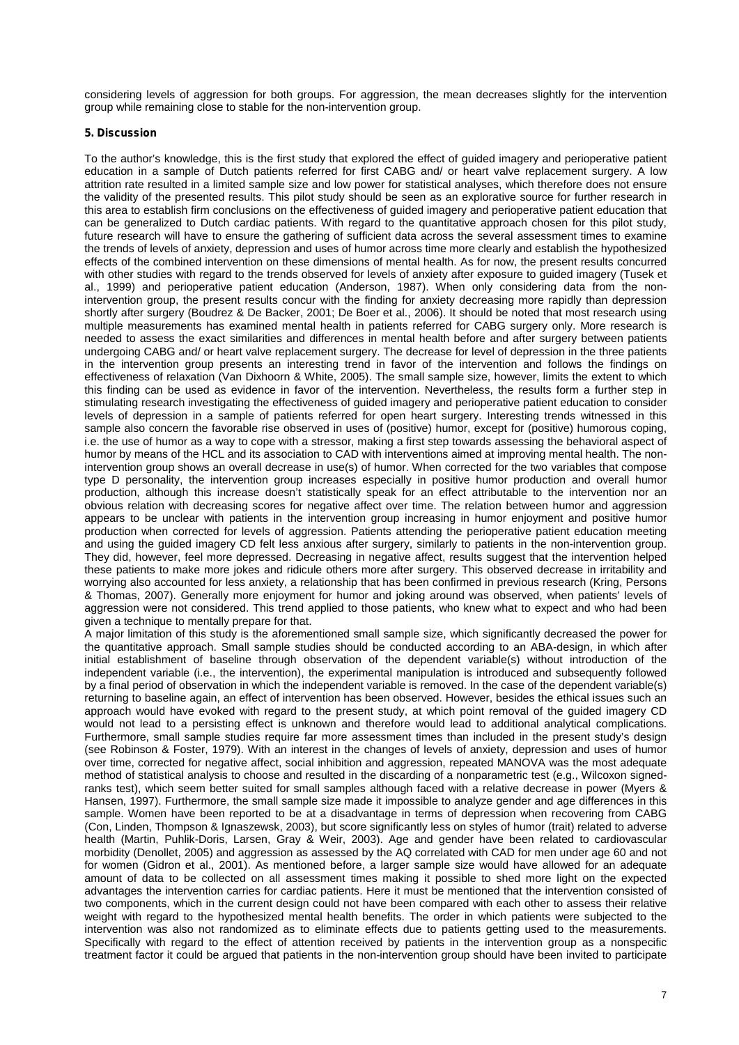considering levels of aggression for both groups. For aggression, the mean decreases slightly for the intervention group while remaining close to stable for the non-intervention group.

# **5. Discussion**

To the author's knowledge, this is the first study that explored the effect of guided imagery and perioperative patient education in a sample of Dutch patients referred for first CABG and/ or heart valve replacement surgery. A low attrition rate resulted in a limited sample size and low power for statistical analyses, which therefore does not ensure the validity of the presented results. This pilot study should be seen as an explorative source for further research in this area to establish firm conclusions on the effectiveness of guided imagery and perioperative patient education that can be generalized to Dutch cardiac patients. With regard to the quantitative approach chosen for this pilot study, future research will have to ensure the gathering of sufficient data across the several assessment times to examine the trends of levels of anxiety, depression and uses of humor across time more clearly and establish the hypothesized effects of the combined intervention on these dimensions of mental health. As for now, the present results concurred with other studies with regard to the trends observed for levels of anxiety after exposure to guided imagery (Tusek et al., 1999) and perioperative patient education (Anderson, 1987). When only considering data from the nonintervention group, the present results concur with the finding for anxiety decreasing more rapidly than depression shortly after surgery (Boudrez & De Backer, 2001; De Boer et al., 2006). It should be noted that most research using multiple measurements has examined mental health in patients referred for CABG surgery only. More research is needed to assess the exact similarities and differences in mental health before and after surgery between patients undergoing CABG and/ or heart valve replacement surgery. The decrease for level of depression in the three patients in the intervention group presents an interesting trend in favor of the intervention and follows the findings on effectiveness of relaxation (Van Dixhoorn & White, 2005). The small sample size, however, limits the extent to which this finding can be used as evidence in favor of the intervention. Nevertheless, the results form a further step in stimulating research investigating the effectiveness of guided imagery and perioperative patient education to consider levels of depression in a sample of patients referred for open heart surgery. Interesting trends witnessed in this sample also concern the favorable rise observed in uses of (positive) humor, except for (positive) humorous coping, i.e. the use of humor as a way to cope with a stressor, making a first step towards assessing the behavioral aspect of humor by means of the HCL and its association to CAD with interventions aimed at improving mental health. The nonintervention group shows an overall decrease in use(s) of humor. When corrected for the two variables that compose type D personality, the intervention group increases especially in positive humor production and overall humor production, although this increase doesn't statistically speak for an effect attributable to the intervention nor an obvious relation with decreasing scores for negative affect over time. The relation between humor and aggression appears to be unclear with patients in the intervention group increasing in humor enjoyment and positive humor production when corrected for levels of aggression. Patients attending the perioperative patient education meeting and using the guided imagery CD felt less anxious after surgery, similarly to patients in the non-intervention group. They did, however, feel more depressed. Decreasing in negative affect, results suggest that the intervention helped these patients to make more jokes and ridicule others more after surgery. This observed decrease in irritability and worrying also accounted for less anxiety, a relationship that has been confirmed in previous research (Kring, Persons & Thomas, 2007). Generally more enjoyment for humor and joking around was observed, when patients' levels of aggression were not considered. This trend applied to those patients, who knew what to expect and who had been given a technique to mentally prepare for that.

A major limitation of this study is the aforementioned small sample size, which significantly decreased the power for the quantitative approach. Small sample studies should be conducted according to an ABA-design, in which after initial establishment of baseline through observation of the dependent variable(s) without introduction of the independent variable (i.e., the intervention), the experimental manipulation is introduced and subsequently followed by a final period of observation in which the independent variable is removed. In the case of the dependent variable(s) returning to baseline again, an effect of intervention has been observed. However, besides the ethical issues such an approach would have evoked with regard to the present study, at which point removal of the guided imagery CD would not lead to a persisting effect is unknown and therefore would lead to additional analytical complications. Furthermore, small sample studies require far more assessment times than included in the present study's design (see Robinson & Foster, 1979). With an interest in the changes of levels of anxiety, depression and uses of humor over time, corrected for negative affect, social inhibition and aggression, repeated MANOVA was the most adequate method of statistical analysis to choose and resulted in the discarding of a nonparametric test (e.g., Wilcoxon signedranks test), which seem better suited for small samples although faced with a relative decrease in power (Myers & Hansen, 1997). Furthermore, the small sample size made it impossible to analyze gender and age differences in this sample. Women have been reported to be at a disadvantage in terms of depression when recovering from CABG (Con, Linden, Thompson & Ignaszewsk, 2003), but score significantly less on styles of humor (trait) related to adverse health (Martin, Puhlik-Doris, Larsen, Gray & Weir, 2003). Age and gender have been related to cardiovascular morbidity (Denollet, 2005) and aggression as assessed by the AQ correlated with CAD for men under age 60 and not for women (Gidron et al., 2001). As mentioned before, a larger sample size would have allowed for an adequate amount of data to be collected on all assessment times making it possible to shed more light on the expected advantages the intervention carries for cardiac patients. Here it must be mentioned that the intervention consisted of two components, which in the current design could not have been compared with each other to assess their relative weight with regard to the hypothesized mental health benefits. The order in which patients were subjected to the intervention was also not randomized as to eliminate effects due to patients getting used to the measurements. Specifically with regard to the effect of attention received by patients in the intervention group as a nonspecific treatment factor it could be argued that patients in the non-intervention group should have been invited to participate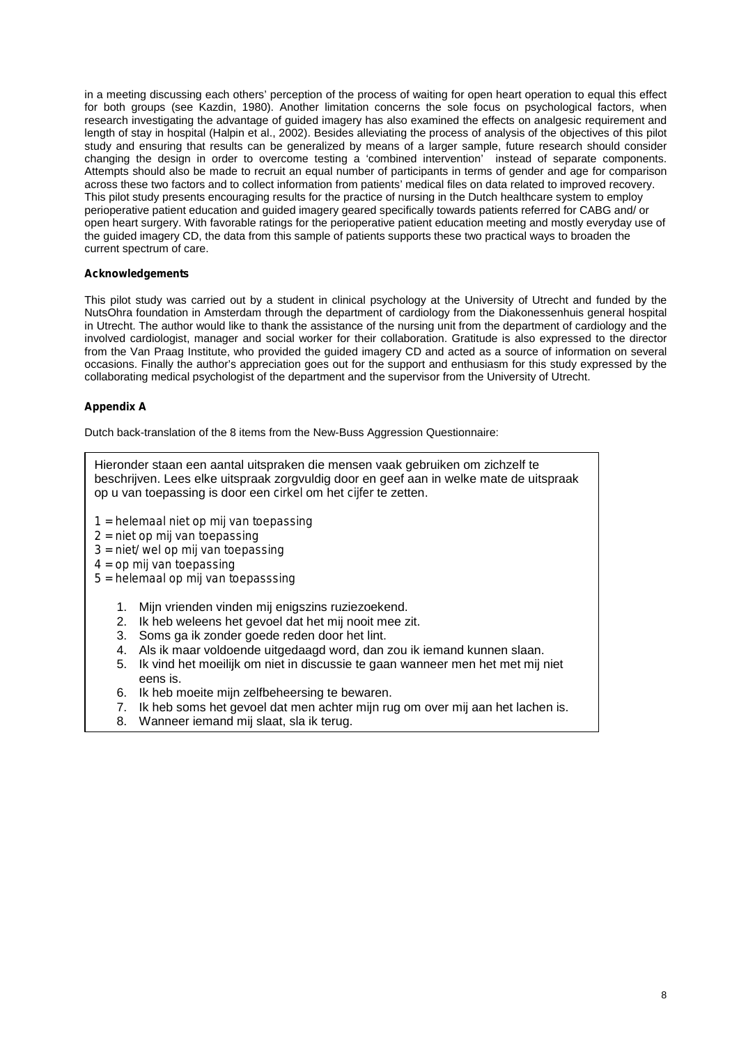in a meeting discussing each others' perception of the process of waiting for open heart operation to equal this effect for both groups (see Kazdin, 1980). Another limitation concerns the sole focus on psychological factors, when research investigating the advantage of guided imagery has also examined the effects on analgesic requirement and length of stay in hospital (Halpin et al., 2002). Besides alleviating the process of analysis of the objectives of this pilot study and ensuring that results can be generalized by means of a larger sample, future research should consider changing the design in order to overcome testing a 'combined intervention' instead of separate components. Attempts should also be made to recruit an equal number of participants in terms of gender and age for comparison across these two factors and to collect information from patients' medical files on data related to improved recovery. This pilot study presents encouraging results for the practice of nursing in the Dutch healthcare system to employ perioperative patient education and guided imagery geared specifically towards patients referred for CABG and/ or open heart surgery. With favorable ratings for the perioperative patient education meeting and mostly everyday use of the guided imagery CD, the data from this sample of patients supports these two practical ways to broaden the current spectrum of care.

# **Acknowledgements**

This pilot study was carried out by a student in clinical psychology at the University of Utrecht and funded by the NutsOhra foundation in Amsterdam through the department of cardiology from the Diakonessenhuis general hospital in Utrecht. The author would like to thank the assistance of the nursing unit from the department of cardiology and the involved cardiologist, manager and social worker for their collaboration. Gratitude is also expressed to the director from the Van Praag Institute, who provided the guided imagery CD and acted as a source of information on several occasions. Finally the author's appreciation goes out for the support and enthusiasm for this study expressed by the collaborating medical psychologist of the department and the supervisor from the University of Utrecht.

# **Appendix A**

Dutch back-translation of the 8 items from the New-Buss Aggression Questionnaire:

|                                                                               | Hieronder staan een aantal uitspraken die mensen vaak gebruiken om zichzelf te<br>beschrijven. Lees elke uitspraak zorgvuldig door en geef aan in welke mate de uitspraak<br>op u van toepassing is door een cirkel om het cijfer te zetten. |  |  |  |  |
|-------------------------------------------------------------------------------|----------------------------------------------------------------------------------------------------------------------------------------------------------------------------------------------------------------------------------------------|--|--|--|--|
| $1$ = helemaal niet op mij van toepassing<br>$2 =$ niet op mij van toepassing |                                                                                                                                                                                                                                              |  |  |  |  |
| $3 =$ niet/wel op mij van toepassing                                          |                                                                                                                                                                                                                                              |  |  |  |  |
| $4 =$ op mij van toepassing                                                   |                                                                                                                                                                                                                                              |  |  |  |  |
| $5$ = helemaal op mij van toepasssing                                         |                                                                                                                                                                                                                                              |  |  |  |  |
|                                                                               |                                                                                                                                                                                                                                              |  |  |  |  |
| 1.                                                                            | Mijn vrienden vinden mij enigszins ruziezoekend.                                                                                                                                                                                             |  |  |  |  |
| 2.                                                                            | Ik heb weleens het gevoel dat het mij nooit mee zit.                                                                                                                                                                                         |  |  |  |  |
| 3.                                                                            | Soms ga ik zonder goede reden door het lint.                                                                                                                                                                                                 |  |  |  |  |
| 4.                                                                            | Als ik maar voldoende uitgedaagd word, dan zou ik iemand kunnen slaan.                                                                                                                                                                       |  |  |  |  |
| 5.                                                                            | Ik vind het moeilijk om niet in discussie te gaan wanneer men het met mij niet                                                                                                                                                               |  |  |  |  |
| eens is.                                                                      |                                                                                                                                                                                                                                              |  |  |  |  |
| 6.                                                                            | Ik heb moeite mijn zelfbeheersing te bewaren.                                                                                                                                                                                                |  |  |  |  |
| 7.                                                                            | Ik heb soms het gevoel dat men achter mijn rug om over mij aan het lachen is.                                                                                                                                                                |  |  |  |  |

8. Wanneer iemand mij slaat, sla ik terug.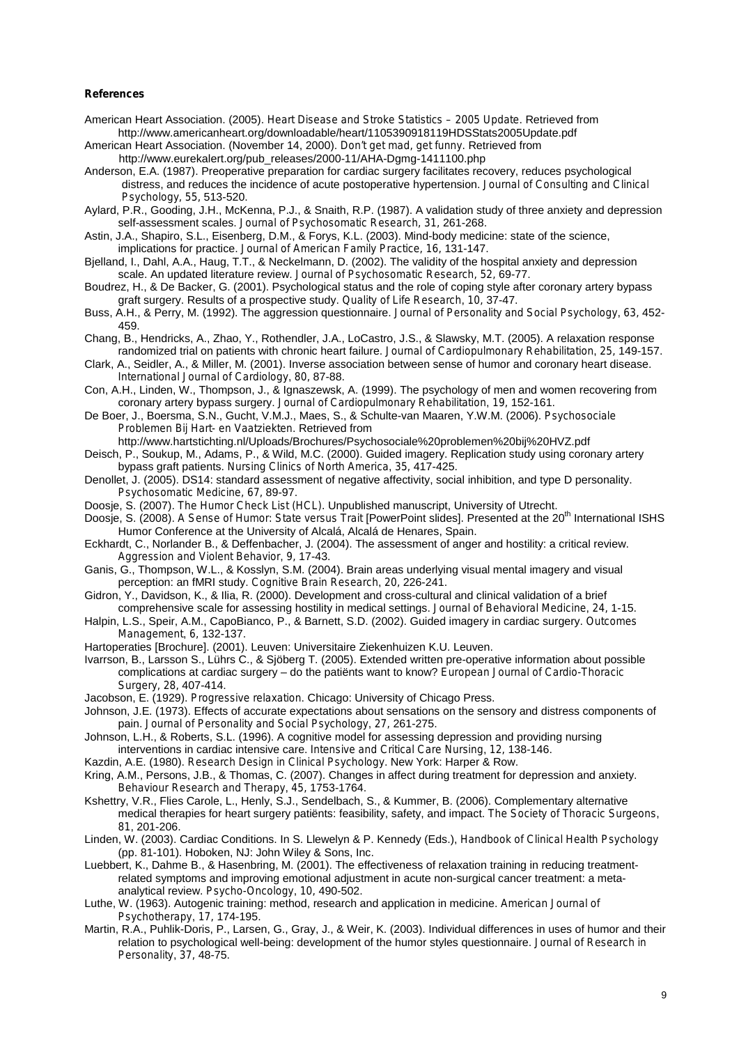### **References**

- American Heart Association. (2005). *Heart Disease and Stroke Statistics – 2005 Update*. Retrieved from <http://www.americanheart.org/downloadable/heart/1105390918119HDSStats2005Update.pdf>
- American Heart Association. (November 14, 2000). *Don't get mad, get funny.* Retrieved from [http://www.eurekalert.org/pub\\_releases/2000-11/AHA-Dgmg-1411100.php](http://www.eurekalert.org/pub_releases/2000-11/AHA-Dgmg-1411100.php)
- Anderson, E.A. (1987). Preoperative preparation for cardiac surgery facilitates recovery, reduces psychological distress, and reduces the incidence of acute postoperative hypertension. *Journal of Consulting and Clinical Psychology, 55,* 513-520.
- Aylard, P.R., Gooding, J.H., McKenna, P.J., & Snaith, R.P. (1987). A validation study of three anxiety and depression self-assessment scales. *Journal of Psychosomatic Research, 31,* 261-268.
- Astin, J.A., Shapiro, S.L., Eisenberg, D.M., & Forys, K.L. (2003). Mind-body medicine: state of the science, implications for practice. *Journal of American Family Practice, 16,* 131-147.
- Bjelland, I., Dahl, A.A., Haug, T.T., & Neckelmann, D. (2002). The validity of the hospital anxiety and depression scale. An updated literature review. *Journal of Psychosomatic Research, 52,* 69-77.
- Boudrez, H., & De Backer, G. (2001). Psychological status and the role of coping style after coronary artery bypass graft surgery. Results of a prospective study. *Quality of Life Research*, *10,* 37-47.
- Buss, A.H., & Perry, M. (1992). The aggression questionnaire. *Journal of Personality and Social Psychology*, *63,* 452- 459.
- Chang, B., Hendricks, A., Zhao, Y., Rothendler, J.A., LoCastro, J.S., & Slawsky, M.T. (2005). A relaxation response randomized trial on patients with chronic heart failure. *Journal of Cardiopulmonary Rehabilitation*, *25,* 149-157.
- Clark, A., Seidler, A., & Miller, M. (2001). Inverse association between sense of humor and coronary heart disease. *International Journal of Cardiology*, *80,* 87-88.
- Con, A.H., Linden, W., Thompson, J., & Ignaszewsk, A. (1999). The psychology of men and women recovering from coronary artery bypass surgery. *Journal of Cardiopulmonary Rehabilitation*, *19,* 152-161.
- De Boer, J., Boersma, S.N., Gucht, V.M.J., Maes, S., & Schulte-van Maaren, Y.W.M. (2006). *Psychosociale Problemen Bij Hart- en Vaatziekten*. Retrieved from

<http://www.hartstichting.nl/Uploads/Brochures/Psychosociale%20problemen%20bij%20HVZ.pdf>

Deisch, P., Soukup, M., Adams, P., & Wild, M.C. (2000). Guided imagery. Replication study using coronary artery bypass graft patients. *Nursing Clinics of North America*, *35,* 417-425.

- Denollet, J. (2005). DS14: standard assessment of negative affectivity, social inhibition, and type D personality. *Psychosomatic Medicine, 67,* 89-97.
- Doosje, S. (2007). *The Humor Check List (HCL).* Unpublished manuscript, University of Utrecht.

Doosje, S. (2008). *A Sense of Humor: State versus Trait* [PowerPoint slides]*.* Presented at the 20 th International ISHS Humor Conference at the University of Alcalá, Alcalá de Henares, Spain.

- Eckhardt, C., Norlander B., & Deffenbacher, J. (2004). The assessment of anger and hostility: a critical review. *Aggression and Violent Behavior*, *9,* 17-43.
- Ganis, G., Thompson, W.L., & Kosslyn, S.M. (2004). Brain areas underlying visual mental imagery and visual perception: an fMRI study. *Cognitive Brain Research*, *20,* 226-241.
- Gidron, Y., Davidson, K., & Ilia, R. (2000). Development and cross-cultural and clinical validation of a brief
- comprehensive scale for assessing hostility in medical settings. *Journal of Behavioral Medicine*, *24,* 1-15. Halpin, L.S., Speir, A.M., CapoBianco, P., & Barnett, S.D. (2002). Guided imagery in cardiac surgery. *Outcomes Management*, *6,* 132-137.
- Hartoperaties [Brochure]. (2001). Leuven: Universitaire Ziekenhuizen K.U. Leuven.
- Ivarrson, B., Larsson S., Lührs C., & Sjöberg T. (2005). Extended written pre-operative information about possible complications at cardiac surgery – do the patiënts want to know? *European Journal of Cardio-Thoracic Surgery, 28,* 407-414.
- Jacobson, E. (1929). *Progressive relaxation*. Chicago: University of Chicago Press.
- Johnson, J.E. (1973). Effects of accurate expectations about sensations on the sensory and distress components of pain. *Journal of Personality and Social Psychology*, *27,* 261-275.
- Johnson, L.H., & Roberts, S.L. (1996). A cognitive model for assessing depression and providing nursing
- interventions in cardiac intensive care. *Intensive and Critical Care Nursing*, *12,* 138-146.
- Kazdin, A.E. (1980). *Research Design in Clinical Psychology*. New York: Harper & Row.
- Kring, A.M., Persons, J.B., & Thomas, C. (2007). Changes in affect during treatment for depression and anxiety. *Behaviour Research and Therapy*, *45,* 1753-1764.
- Kshettry, V.R., Flies Carole, L., Henly, S.J., Sendelbach, S., & Kummer, B. (2006). Complementary alternative medical therapies for heart surgery patiënts: feasibility, safety, and impact. *The Society of Thoracic Surgeons*, *81*, 201-206.
- Linden, W. (2003). Cardiac Conditions. In S. Llewelyn & P. Kennedy (Eds.), *Handbook of Clinical Health Psychology* (pp. 81-101). Hoboken, NJ: John Wiley & Sons, Inc.
- Luebbert, K., Dahme B., & Hasenbring, M. (2001). The effectiveness of relaxation training in reducing treatmentrelated symptoms and improving emotional adjustment in acute non-surgical cancer treatment: a metaanalytical review. *Psycho-Oncology*, *10,* 490-502.
- Luthe, W. (1963). Autogenic training: method, research and application in medicine. *American Journal of Psychotherapy*, *17,* 174-195.
- Martin, R.A., Puhlik-Doris, P., Larsen, G., Gray, J., & Weir, K. (2003). Individual differences in uses of humor and their relation to psychological well-being: development of the humor styles questionnaire. *Journal of Research in Personality*, *37,* 48-75.